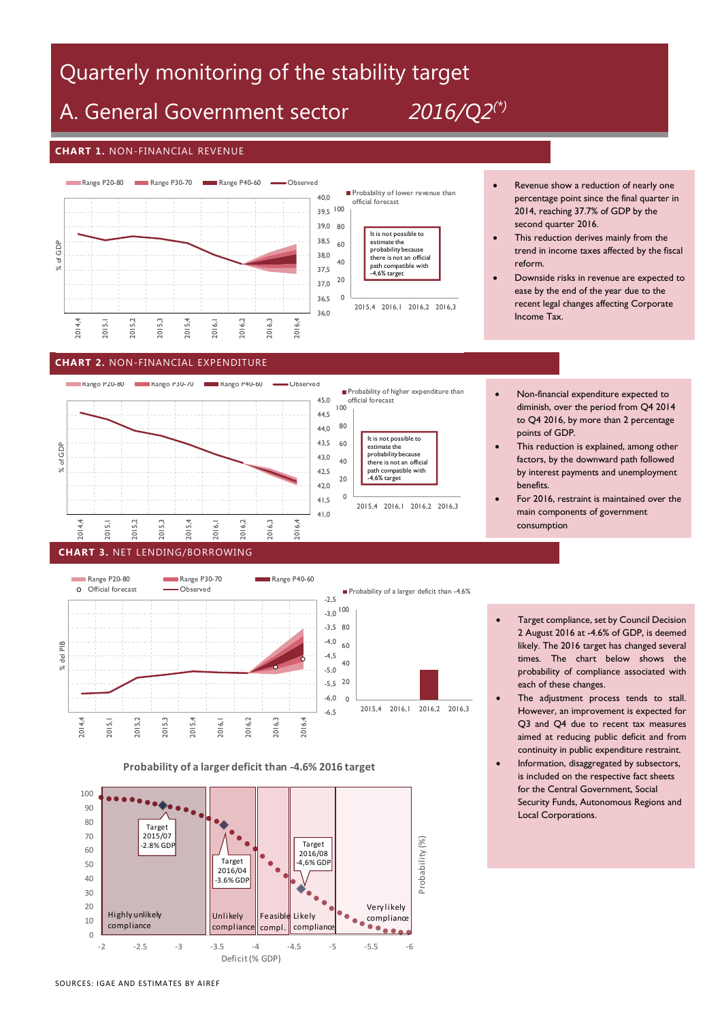# Quarterly monitoring of the stability target and the stability of the state of the state

# A. General Government sector *2016/Q2(\*)*

2016/Q2<sup>(\*)</sup>

### **CHART 1.** NON-FINANCIAL REVENUE



#### **CHART 2.** NON-FINANCIAL EXPENDITURE



Range P20-80 Range P30-70 Range P40-60



Probability of a larger deficit than -4.6%

2015,4 2016,1 2016,2 2016,3

2015,4 2016,1 2016,2 2016,3

Probability of lower revenue than

It is not possible to estimate the probability because there is not an official path compatible with .<br>-4,6% target

official forecast

- Revenue show a reduction of nearly one percentage point since the final quarter in 2014, reaching 37.7% of GDP by the second quarter 2016.
- This reduction derives mainly from the trend in income taxes affected by the fiscal reform.
- Downside risks in revenue are expected to ease by the end of the year due to the recent legal changes affecting Corporate Income Tax.

 Non-financial expenditure expected to diminish, over the period from Q4 2014 to Q4 2016, by more than 2 percentage

> This reduction is explained, among other factors, by the downward path followed by interest payments and unemployment

 For 2016, restraint is maintained over the main components of government

points of GDP.

benefits.

consumption

- Target compliance, set by Council Decision 2 August 2016 at -4.6% of GDP, is deemed likely. The 2016 target has changed several times. The chart below shows the probability of compliance associated with
- The adjustment process tends to stall. However, an improvement is expected for Q3 and Q4 due to recent tax measures aimed at reducing public deficit and from continuity in public expenditure restraint.

each of these changes.

• Information, disaggregated by subsectors, is included on the respective fact sheets for the Central Government, Social Security Funds, Autonomous Regions and Local Corporations.



2016,2

2016,3

-6,5 -6,0  $-5,5$  20 -5,0 -4,5  $-4,0$  60  $-3,5,80$  $-3,0$ <sup>100</sup> -2,5

 $\Omega$ 

60<br>40<br>20 80<br>60<br>40 00<br>80<br>60 ■ F<br>00<br>80

40



2014,4

2015,1

2015,2

O Official forecast **-**Observed

2015,3

2015,4

 $2014,4$   $2015,1$   $2015,3$   $2015,3$   $2015,4$   $2015,5$   $2016,5$   $2016,5$   $2016,5$   $2016,3$   $2016,3$   $2016,3$   $2016,3$ 

2016,1